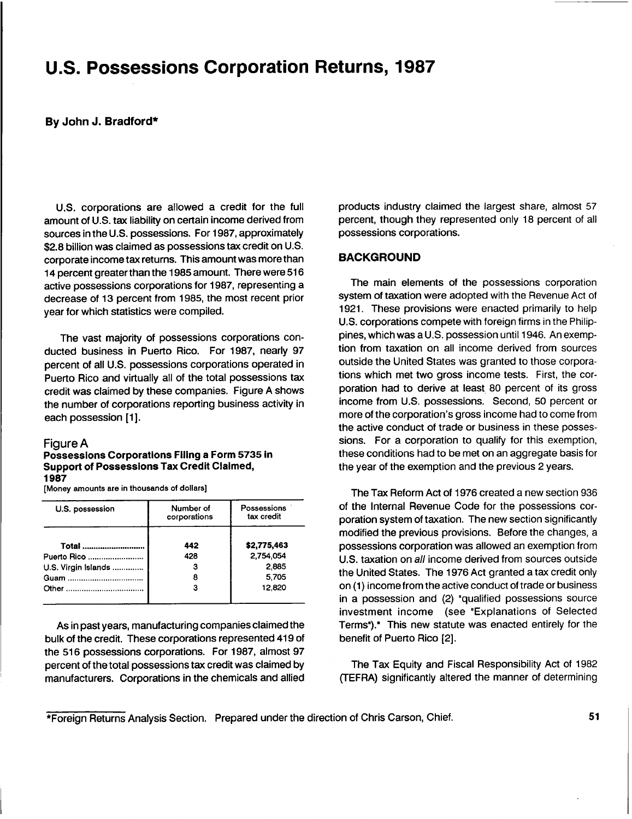# **U.S.** Possessions Corporation Returns, **1987**

#### **By** John **J.** Bradford\*

**U.S.** corporations are allowed a credit for the full amount of **U.S.** tax liability on certain income derived from sources in the **U.S.** possessions. For **1987,** approximately **\$2.8** billion was claimed as possessions tax credit on **U.S.** corporate income tax returns. This amount was more than 14 percent greaterthan the **1985** amount. There were **516** active possessions corporations for **1987,** representing a decrease of **13** percent from **1985,** the most recent prior year for which statistics were compiled.

The vast majority of possessions corporations conducted business in Puerto Rico. For **1987,** nearly **97** percent of all **U.S.** possessions corporations operated in Puerto Rico and virtually all of the total possessions tax credit was claimed **by** these companies. Figure **A** shows the number of corporations reporting business activity in each possession **[1].**

#### Figure **A**

#### Possessions Corporations Filing <sup>a</sup> Form **5735** In Support of Possessions Tax Credit Claimed, **1987**

[Money amounts are in thousands of dollars]

| U.S. possession     | Number of<br>corporations | Possessions<br>tax credit |  |  |
|---------------------|---------------------------|---------------------------|--|--|
| Total               | 442                       | \$2,775,463               |  |  |
| Puerto Rico         | 428                       | 2.754.054                 |  |  |
| U.S. Virgin Islands | з                         | 2.885                     |  |  |
|                     | 8                         | 5.705                     |  |  |
|                     |                           | 12,820                    |  |  |
|                     |                           |                           |  |  |

As in past years, manufacturing companies claimed the bulk of the credit. These corporations represented 419 of the **516** possessions corporations. For **1987,** almost **97** percent of the total possessions tax credit was claimed **by** manufacturers. Corporations in the chemicals and allied products industry claimed the largest share, almost **57** percent, though they represented only **18** percent of all possessions corporations.

#### **BACKGROUND**

The main elements of the possessions corporation system of taxation were adopted with the Revenue Act of **1921.** These provisions were enacted primarily to help **U.S.** corporations compete with foreign firms in the Philippines, which was a **U.S.** possession until 1946. An exemption from taxation on all income derived from sources outside the United States was granted to those corporations which met two gross income tests. First, the corporation had to derive at least **80** percent of its gross **'** income from **U.S.** possessions. Second, **50** percent or more of the corporation's gross income had to come from the active conduct of trade or business in these possessions. For a corporation to qualify for this exemption, these conditions had to be met on an aggregate basis for the year of the exemption and the previous 2 years.

The Tax Reform Act of **1976** created a new section **936** of the Internal Revenue Code for the possessions corporation system of taxation. The new section significantly modified the previous provisions. Before the changes, a possessions corporation was allowed an exemption from **U.S.** taxation on all income derived from sources outside the United States. The **1976** Act granted a tax credit only on **(1)** incomefrom the active conduct of trade or business in a possession and (2) "qualified possessions source investment income (see "Explanations of Selected Terms")." This new statute was enacted entirely for the benefit of Puerto Rico [2].

The Tax Equity and Fiscal Responsibility Act of **1982** (TEFRA) significantly altered the manner of determining

\*Foreign Returns Analysis Section. Prepared under the direction of Chris Carson, Chief. **51**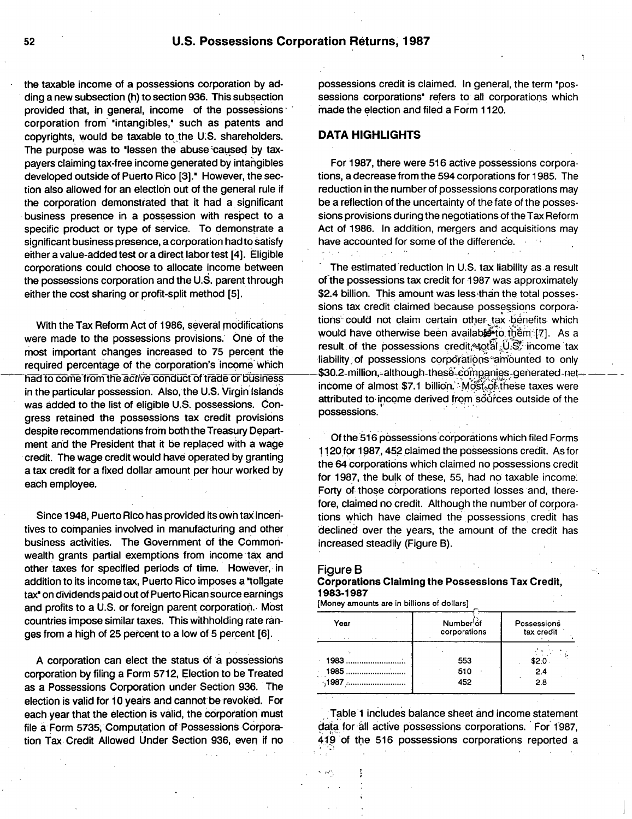the taxable income of a possessions corporation **by** adding a new subsection (h) to section **936.** This subsection provided that, in general, income of the possessions corporation from" 'intangibles,' such as patents and copyrights, would be taxable to"the **U'.S.** shareholders. The purpose was to 'lessen the abuse caused by taxpayers claiming tax-free income generated **by** intangibles developed outside of Puerto Rico **[3].'** However, the section also allowed for an election out of the general rule if the corporation demonstrated that **it** had a significant business presence in a possession with respect to a specific product or type of service. To demonstrate a significant business presence, a corporation had to satisfy either a value-added test or a direct labor test [4]. Eligible corporations could choose to allocate income between the possessions corporation and the **U.S.** parent through either the cost sharing or profit-split method **[5].**

With the Tax Reform Act of **1986,** several modifications were made to the possessions provisions. One of the most important changes increased to **75** percent the required percentage of the corporation's income'which had to come from the active conduct of trade or business in the particular possession. Also, the **U.S.** Virgin Islands was added to the list of eligible **U.S.** possessions. Congress retained the possessions tax credit provisions despite recommendations from boththeTreasury Department and the President that it be replaced with **a** wage credit. The wage credit would have operated **by** granting a tax credit for a fixed dollar amount per hour worked **by** each employee.

Since 1948, Puerto Rico has provided its own tax incentives to companies involved in manufacturing and other business activities. The Government of the Commonwealth grants partial exemptions from income tax and other taxes for specified periods of time. However, in addition to its income tax, Puerto Rico imposes a "tollgate" tax<sup>\*</sup> on dividends paid out of Puerto Rican source earnings and profits to a **U.S.** or foreign parent corporation.. Most countries impose similar taxes. This withholding rate ranges from a high of **25** percent to a low of **5** percent **[6].**

**A** corporation can elect the status **of** a possessions corporation **by** filing a Form **5712,** Election to be Treated as **a** Possessions Corporation under-Section **936.** The election is valid for **10** years and cannot-be revoked. For each year that the election is valid, the corporation must file **a,** Form **5735,** Computation of Possessions Corpora-**'**tion Tax Credit Allowed Under Section **936,** even if no

possessions credit is claimed. In general, the term 'possessions corporations<sup>\*</sup> refers to all corporations which made the election and filed a Form **11**20.

#### **DATA HIGHLIGHTS**

For **1987,** there were **516** active possessions corporations, a decrease from the 594 corporations for **1985.** The reduction in the number of possessions corporations may be a reflection of the uncertainty of the fate of the possessions provisions during the negotiations of the Tax Reform Act of **1986.** In addition, mergers and acquisitions may have accounted for some of the difference.

The estimated 'reduction in **U.S.** tax liability as a result of the possessions tax credit for **1987** was approximately \$2.4 billion. This amount was less than the total possessions tax credit claimed because possessions corporations could not claim certain other tax bénefits which would have otherwise been availaberto thêm [7]. As a result of the possessions credit 4otal  $0.8^{\circ}$  income tax liability of possessions corporations amounted to only  $-$ \$30.2-million,-although-these-companies-generated netincome of almost \$7.1 billion. Most of these taxes were attributed to income derived from sources outside of the possessions.

**Of** the **516** possessions corporations which filed Forms **11** 20 for **1987,** 452 claimed the possessions credit. As for the 64 corporations which claimed no possessions credit for **1987,** the bulk of these, **55,** had no taxable income. Forty of those corporations reported losses and, therefore, claimed no credit. Although the number of corporations which have claimed the possessions credit has declined over the years, the amount of the credit has increased steadily (Figure B).

#### Figure B

#### Corporations Claiming the Possessions Tax Credit, **1983-1987**

[Money amounts are in billions of dollars]

| Year          | Number of<br>corporations | Possessions<br>tax credit |  |  |
|---------------|---------------------------|---------------------------|--|--|
|               |                           |                           |  |  |
| 1983.         | 553                       | \$2.0                     |  |  |
| 1985          | 510                       | 2.4                       |  |  |
| $\cdot$ ,1987 | 452                       | 2.8                       |  |  |

Table **<sup>1</sup>** includes balance sheet and income statement data for all active possessions corporations. For 1987, 4 **9** of the **516** possessions corporations reported a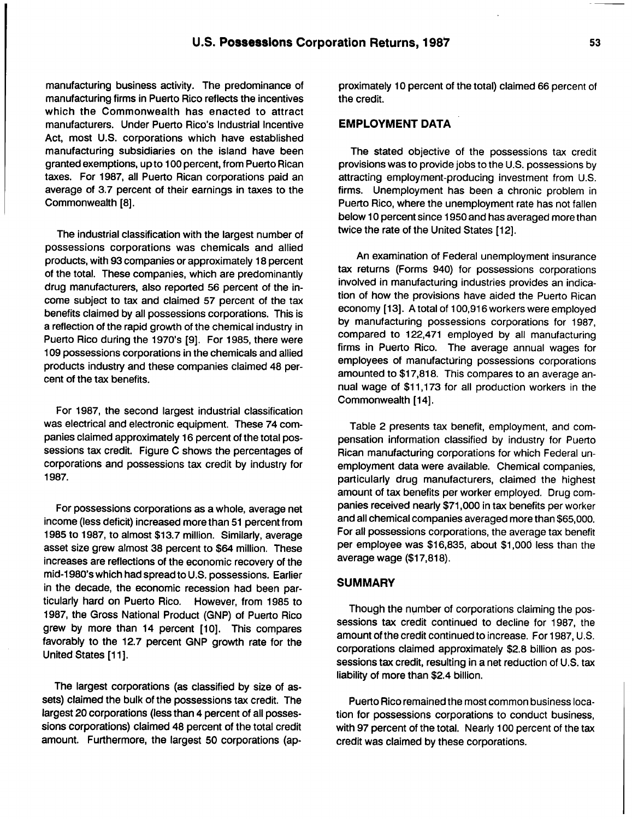manufacturing business activity. The predominance of manufacturing firms in Puerto Rico reflects the incentives which the Commonwealth has enacted to attract manufacturers. Under Puerto Rico's Industrial Incentive Act, most **U.S.** corporations which have established manufacturing subsidiaries on the island have been granted exemptions, up to **100** percent, from Puerto Rican taxes. For **1987,** all Puerto Rican corporations paid an average of **3.7** percent of their earnings in taxes to the Commonwealth **[8].**

The industrial classification with the largest number of possessions corporations was chemicals and allied products, with **93** companies or approximately **18** percent of the total. These companies, which are predominantly drug manufacturers, also reported **56** percent of the income subject to tax and claimed **57** percent of the tax benefits claimed **by** all possessions corporations. This is a reflection of the rapid growth of the chemical industry in Puerto Rico during the 1970's **[9].** For **1985,** there were **109** possessions corporations in the chemicals and allied products industry and these companies claimed 48 percent of the tax benefits.

For **1987,** the second largest industrial classification was electrical and electronic equipment. These 74 **com**panies claimed approximately **16** percent of the total possessions tax credit. Figure **C** shows the percentages of corporations and possessions tax credit **by** industry for **1987.**

For possessions corporations as a whole, average net income (less deficit) increased more than **51** percent from **1985** to **1987,** to almost **\$13.7** million. Similarly, average asset size grew almost **38** percent to \$64 million. These increases are reflections of the economic recovery of the mid-1980's which had spread to **U.S.** possessions. Earlier in the decade, the economic recession had been particularly hard on Puerto Rico. However, from **1985** to **1987,** the Gross National Product **(GNP)** of Puerto Rico grew **by** more than 14 percent **[10].** This compares favorably to the **12.7** percent **GNP** growth rate for the United States **[11 ].**

The largest corporations (as classified **by** size of assets) claimed the bulk of the possessions tax credit. The largest 20 corporations (less than 4 percent of all possessions corporations) claimed 48 percent of the total credit amount. Furthermore, the largest **50** corporations (approximately **10** percent of the total) claimed **66** percent of the credit.

# EMPLOYMENT **DATA**

The stated objective of the possessions tax credit provisions was to provide jobs to the **U.S.** possessions **by** attracting employment-producing investment from **U.S.** firms. Unemployment has been a chronic problem in Puerto Rico, where the unemployment rate has not fallen below **10** percent since **1950** and has averaged more than twice the rate of the United States [12].

An examination of Federal unemployment insurance tax returns (Forms 940) for possessions corporations involved in manufacturing industries provides an indication of how the provisions have aided the Puerto Rican economy **[13]. A** total of **100,916** workers were employed **by** manufacturing possessions corporations for **1987,** compared to 122,471 employed **by** all manufacturing firms in Puerto Rico. The average annual wages for employees of manufacturing possessions corporations amounted to **\$17,818.** This compares to an average annual wage of **\$11,173** for all production workers in the Commonwealth [14].

Table 2 presents tax benefit, employment, and compensation information classified **by** industry for Puerio Rican manufacturing corporations for which Federal unemployment data were available. Chemical companies, particularly drug manufacturers, claimed the highest amount of tax benefits per worker employed. Drug companies received nearly **\$71,000** in tax benefits per worker and all chemical companies averaged more than **\$65,000.** For all possessions corporations, the average tax benefit per employee was **\$16,835,** about **\$1,000** less than the average wage **(\$17,818).**

### **SUMMARY**

Though the number of corporations claiming the possessions tax credit continued to decline for **1987,** the amount of the credit continued to increase. For **1987, U.S.** corporations claimed approximately **\$2.8** billion as possessions tax credit, resulting in a net reduction of **U.S.** tax liability of more than \$2.4 billion.

Puerto Rico remained the most common business location for possessions corporations to conduct business, with **97** percent of the total. Nearly **100** percent of the tax credit was claimed **by** these corporations.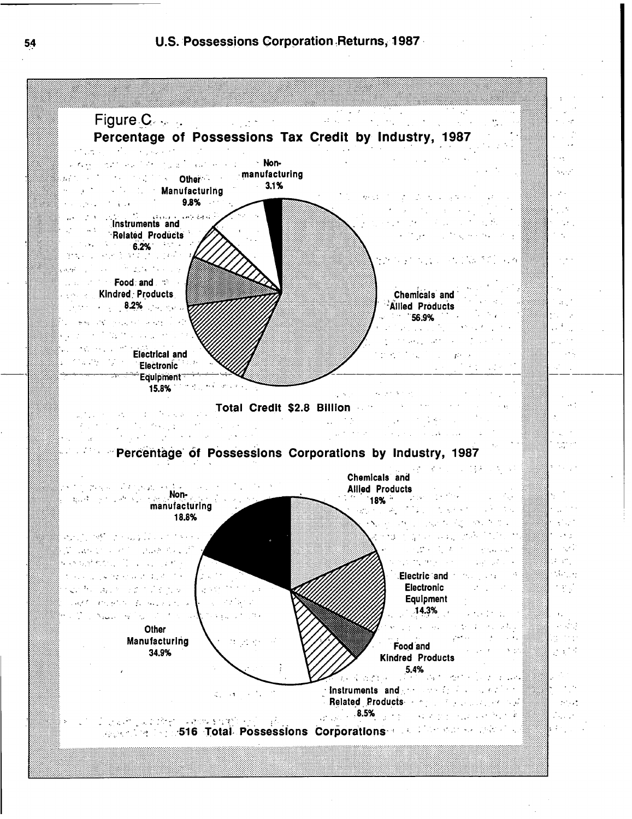

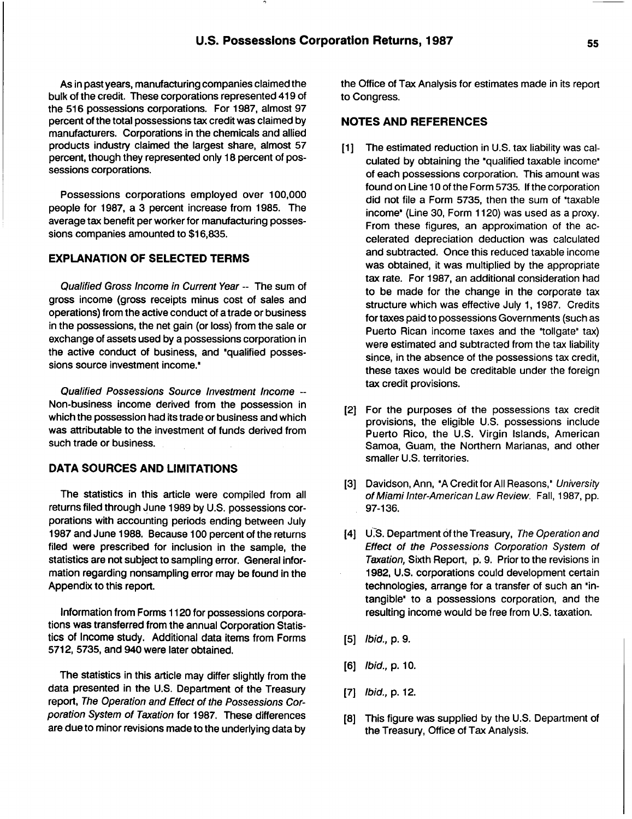As in past years, manufacturing companies claimed the bulk of the credit. These corporations represented 419 of the **516** possessions corporations. For **1987,** almost **97** percent of the total possessions tax credit was claimed **by** manufacturers. Corporations in the chemicals and allied products industry claimed the largest share, almost **57** percent, though they represented only **18** percent of possessions corporations.

Possessions corporations employed over **100,000** people for **1987,** a **3** percent increase from **1985.** The average tax benefit per worker for manufacturing possessions companies amounted to **\$16,835.**

## **EXPLANATION** OF **SELECTED** TERMS

Qualified Gross Income in Current Year **--** The sum of gross income (gross receipts minus cost of sales and operations) from the active conduct of a trade or business in the possessions, the net gain (or loss) from the sale or exchange of assets used **by** a possessions corporation in the active conduct of business, and "qualified possessions source investment income."

Qualified Possessions Source Investment Income **--** Non-business income derived from the possession in which the possession had its trade or business and which was attributable to the investment of funds derived from such trade or business.

# **DATA SOURCES AND LIMITATIONS**

The statistics in this article were compiled from all returns filed through June **1989 by U.S.** possessions corporations with accounting periods ending between July 1987 and June 1988. Because 100 percent of the returns filed were prescribed for inclusion in the sample, the statistics are not subject to sampling error. General information regarding nonsampling error may be found in the Appendix to this report.

Information from Forms **<sup>11</sup>** 20 for possessions corporations was transferred from the annual Corporation Statistics of Income study. Additional data items from Forms **5712, 5735,** and 940 were later obtained.

The statistics in this article may differ slightly from the data presented in the **U.S.** Department of the Treasury report, The Operation and Effect of the Possessions Corporation System of Taxation for **1987.** These differences are due to minor revisions madeto the underlying data **by** the Office of Tax Analysis for estimates made in its report to Congress.

### **NOTES AND REFERENCES**

- **Ill** The estimated reduction in **U.S.** tax liability was calculated by obtaining the "qualified taxable income" of each possessions corporation. This amount was found on Line **10** of the Form **5735. If**the corporation did not file a Form **5735,** then the sum of \*taxable income<sup>®</sup> (Line 30, Form 1120) was used as a proxy. From these figures, an approximation of the accelerated depreciation deduction was calculated and subtracted. Once this reduced taxable income was obtained, it was multiplied **by** the appropriate tax rate. For **1987,** an additional consideration had to be made for the change in the corporate tax structure which was effective July **1, 1987.** Credits for taxes paid to possessions Governments (such as Puerto Rican income taxes and the "tollgate" tax) were estimated and subtracted from the tax liability since, in the absence of the possessions tax credit, these taxes would be creditable under the foreign tax credit provisions.
- [2] For the purposes of the possessions tax credit provisions, the eligible **U.S.** possessions include Puerto Rico, the **U.S.** Virgin Islands, American Samoa, Guam, the Northern Marianas, and other smaller **U.S.** territories.
- **[3]** Davidson,Ann, **\*A** Credit for **All** Reasons," University of Miami Inter-American Law Review. Fall, **1987, pp. 97-136.**
- [4] U.S. Department of the Treasury, The Operation and Effect of the Possessions Corporation System of Taxation, Sixth Report, **p.9.** Prior to the revisions in **1982, U.S.** corporations could development certain technologies, arrange for a transfer of such an 'intangible' to a possessions corporation, and the resulting income would be free from **U.S.** taxation.
- **[5)** Ibid., **p. 9.**
- **[6)** Ibid., **p. 10.**
- **[7]** Ibid., **p.** 12.
- **[81** This figure was supplied **by** the **U.S.** Department of the Treasury, Office of Tax Analysis.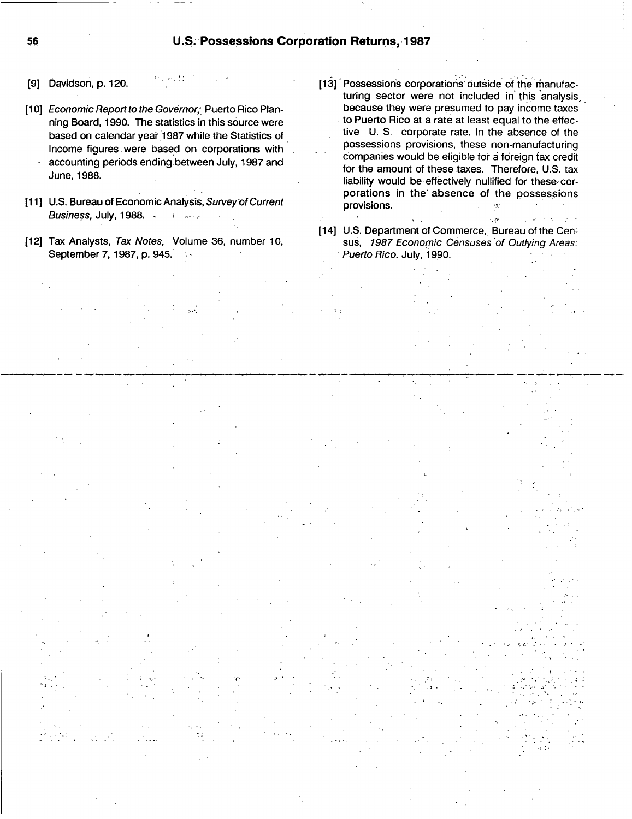- **191** Davidson, **p.** 120.
- [10] Economic Report to the Governor, Puerto Rico Plan-**'** ning Board, **1990.** The statistics in this source were based on calendar year 1987 while the Statistics of Income figures. were -base **d** on corporations with **'** accounting periods ending.between July, **1987** and June,1988.
- **[ill U.S.** Bureau of Economic Analysis, Survey-of Current Business, July, **1988. <sup>~</sup>** <sup>i</sup> **-..I-**
- [121 Tax Analysts, Tax Notes, Volume **36,** number **10,** September **7,1987, p.** 945. **~,**
- [13] Possessions corporations outside of the manufacturing sector were not included in this analysis. because they were presumed to pay income taxes to Puerto Rico at a rate at least equal to the effective **U. S.** corporate rate. In the absence of the possessions provisions, these non-manufacturing companies would be eligible fof ai foreign tax credit for the amount of these taxes. Therefore, **U.S.** tax liability would be effectively nullified for these corporations in the'absence of the possessions provisions. УC.
- [14] U.S. Department of Commerce, Bureau of the Census, 1987 Economic Censuses of Outlying Areas: Puerto Rico. July, **1990.**

i, pr

**56**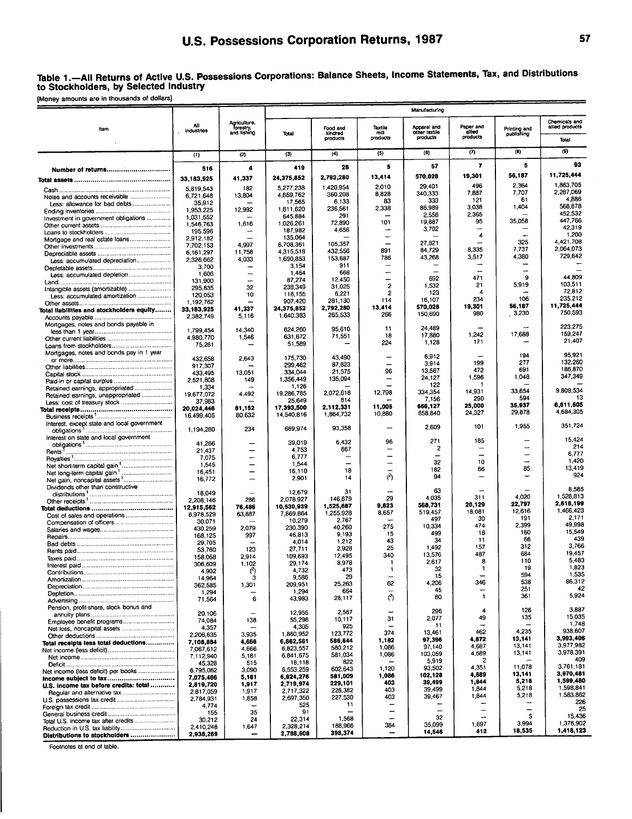### Table **1.-All** Returns of Active **U.S.** Possessions Corporations: Balance Sheets, Income Statements, Tax, and Distributions to Stockholders, **by** Selected Industry

[Money amounts are in thousands of dollars)

|                                             |                          |                               |                        |                      |                          | Manufacturing             |                         |                            |                                  |
|---------------------------------------------|--------------------------|-------------------------------|------------------------|----------------------|--------------------------|---------------------------|-------------------------|----------------------------|----------------------------------|
|                                             | All                      | Agriculture,<br>forestry,     |                        | Food and             | Textile                  | Apparel and               | Paper and               |                            | Chemicals and<br>allied products |
| ltem                                        | industries               | and fishing                   | Total                  | kindred<br>products  | mill<br>products         | other textile<br>products | allied<br>products      | Printing and<br>publishing | Total                            |
|                                             | (1)                      | (2)                           | (3)                    | (4)                  | (5)                      | (6)                       | ω                       | (3)                        | (9)                              |
|                                             |                          | 4                             | 419                    | 28                   | 5                        | 57                        | $\overline{\mathbf{r}}$ | 5                          | 93                               |
| Number of returns                           | 516                      | 41,337                        | 24,375,852             | 2.792.280            | 13,414                   | 570,028                   | 19,301                  | 56,187                     | 11,725,444                       |
|                                             | 33,183,925               | 182                           | 5,277,238              | 1.420.954            | 2,010                    | 29,401                    | 496                     | 2.364                      | 1,863,705                        |
| Notes and accounts receivable               | 5,819,543<br>6,721,648   | 13,804                        | 4,859,762              | 360,208              | 8,828                    | 340,333                   | 7,887                   | 7.707                      | 2,287,069                        |
| Less: allowance for bad debts               | 35,912                   |                               | 17,565                 | 6,133                | 83                       | 333                       | 121<br>3.038            | 61<br>1,404                | 4,886<br>568,878                 |
|                                             | 1.953.225                | 12,992                        | 1,811,620<br>645,884   | 236,561<br>291       | 2,338                    | 86,989<br>2.558           | 2.365                   |                            | 452.532                          |
| Investment in government obligations        | 1,031.552<br>1,546,763   | 1,616                         | 1,026,261              | 72,890               | 101                      | 19,887                    | 95                      | 35,058                     | 447,766                          |
|                                             | 195,596                  |                               | 187,982                | 4,656                | -                        | 3,702                     | 4                       |                            | 42.319<br>1,200                  |
|                                             | 2.912,182                | 4,997                         | 135,064<br>6,708,361   | 105,357              | -                        | 27,821                    |                         | 325                        | 4.421.708                        |
|                                             | 7.702,153<br>6, 161, 297 | 11,758                        | 4,315,518              | 432,556              | 891                      | 84,729                    | 8,335                   | 7.737                      | 2,064,073                        |
| Less: accumulated depreciation              | 2,326,662                | 4,033                         | 1.690.853              | 153,687              | 786                      | 43,268                    | 3,517                   | 4,380                      | 729,642                          |
|                                             | 3,700                    |                               | 3,154                  | 911<br>668           | -                        |                           |                         | $\overline{\phantom{0}}$   |                                  |
|                                             | $-1,606$<br>131,900      | -                             | 1,464<br>87,274        | 12,450               | -                        | 692                       | 471                     | 9                          | 44.809                           |
| Intangible assets (amortizable)             | 295,835                  | 32                            | 238,349                | 31,025               | $\overline{c}$           | 1,532                     | 21                      | 5.919                      | 103.511                          |
| Less: accumulated amortization              | 120,053                  | 10                            | 118,155                | 6,221                | 2                        | 123<br>16,107             | 4<br>234                | 106                        | 72.812<br>235,212                |
|                                             | 1,192,762                | 41,337                        | 907,420<br>24,375,852  | 281,130<br>2,792,280 | 114<br>13,414            | 570,028                   | 19,301                  | 56,187                     | 11,725,444                       |
| Total liabilities and stockholders equity   | 33,183,925<br>2,382,749  | 5,116                         | 1,640,383              | 265,533              | 266                      | 150,690                   | 980                     | 3,230                      | 750,593                          |
| Mortgages, notes and bonds payable in       |                          |                               |                        |                      |                          | 24,489                    |                         |                            | 223,275                          |
|                                             | 1,799,454                | 14.340                        | 624,260                | 95,610<br>71,551     | 11<br>18                 | 17,880                    | 1.242                   | 17,688                     | 159,247                          |
|                                             | 4.980.770<br>75,261      | 1,546                         | 631,672<br>51,589      |                      | 224                      | 1.128                     | 171                     |                            | 21,407                           |
| Mortgages, notes and bonds pay in 1 year    |                          |                               |                        |                      |                          |                           |                         |                            |                                  |
|                                             | 432,658                  | 2,643                         | 175,730                | 43,490               |                          | 6.912<br>3,914            | 199                     | 194<br>277                 | 95,921<br>132.260                |
|                                             | 917,307<br>433,495       | 13,051                        | 299,462<br>334,044     | 87.623<br>21,575     | 96                       | 13,567                    | 472                     | 691                        | 186,870                          |
|                                             | 2,521,808                | 149                           | 1,356,449              | 135,094              | $\overline{\phantom{0}}$ | 24,127                    | 1,596                   | 1,048                      | 347,349                          |
| Retained earnings, appropriated             | 1.334                    |                               | 1,126                  |                      |                          | 122                       |                         | 33,654                     | 9,808,534                        |
| Retained earnings, unappropriated           | 19,677,072               | 4,492                         | 19,286,785             | 2,072,618<br>814     | 12,798                   | 334,354<br>7,156          | 14,931<br>290           | 594                        | 13                               |
|                                             | 37,983<br>20,024,446     | 81,152                        | 25,649<br>17.393.500   | 2,112,331            | 11,005                   | 666,127                   | 25,000                  | 35,937                     | 6,611,605                        |
|                                             | 16,499,405               | 80,632                        | 14,540,816             | 1,864,732            | 10,880                   | 658,840                   | 24,327                  | 29,878                     | 4,684,305                        |
| Interest, except state and local government |                          |                               |                        |                      |                          | 2,609                     | 101                     | 1,955                      | 351,724                          |
| Interest on state and local government      | 1,194,280                | 234                           | 689,974                | 93,358               |                          |                           |                         |                            |                                  |
|                                             | 41,286                   |                               | 39,019                 | 6,432                | 96                       | 271                       | 185                     |                            | 15.424<br>214                    |
|                                             | 21.437                   |                               | 4,753                  | 867                  | $\overline{\phantom{a}}$ | 2                         | $\equiv$                | $\overline{\phantom{a}}$   | 6,777                            |
|                                             | 7,075<br>1,545           | -<br>$\overline{\phantom{0}}$ | 6,777<br>1.544         |                      | $\overline{\phantom{0}}$ | 32                        | 10                      | $\overline{a}$             | 1,420                            |
|                                             | 16,451                   |                               | 16,110                 | 18                   |                          | 182                       | 66                      | 85                         | 13,419                           |
|                                             | 16,772                   | $\equiv$                      | 2,901                  | 14                   | (3)                      | 94                        |                         |                            | 924                              |
| Dividends other than constructive           |                          |                               | 12,679                 | 31                   |                          | 63                        |                         |                            | 8,585                            |
|                                             | 18.049<br>2,208,146      | 286                           | 2.078.927              | 146,879              | 29                       | 4.035                     | 311                     | 4,020                      | 1,528,813                        |
|                                             | 12,915,562               | 76,486                        | 10,530,939             | 1,525,687            | 9.823                    | 568,731                   | 20,129                  | 22,797<br>12,616           | 2,618,199<br>1,466,423           |
|                                             | 8,978,529                | 63,887                        | 7,869,864              | 1,255,928            | 8,657                    | 519,457<br>497            | 18,081<br>30            | 191                        | 2,171                            |
|                                             | 30,071<br>430,259        | 2,079                         | 10,279<br>230,390      | 2,767<br>40,260      | 275                      | 10,334                    | 474                     | 2,399                      | 49,998                           |
|                                             | 168,125                  | 997                           | 46,813                 | 9,193                | 15                       | 499                       | 18                      | 160                        | 15.549                           |
|                                             | 29,705                   |                               | 4,014                  | 1,212                | 43<br>25                 | 34<br>1,492               | 11<br>157               | 66<br>312                  | 439<br>3.766                     |
|                                             | 53,760<br>158,068        | 123<br>2.914                  | 27.711<br>109,693      | 2,928<br>12,495      | 340                      | 13,576                    | 487                     | 684                        | 19,457                           |
|                                             | 306,609                  | 1,102                         | 29,174                 | 8,978                | -1                       | 2,617                     | 8                       | 110                        | 5,483                            |
|                                             | 4,902                    | 17                            | 4,732                  | 473                  | 1                        | 32                        |                         | ıУ<br>594                  | 1,823<br>1,535                   |
|                                             | 14,964                   | з                             | 9,586<br>209.951       | 29<br>25,263         | -<br>62                  | 15<br>4,206               | 346                     | 538                        | 86,312                           |
|                                             | 362,585<br>1,294         | 1,301                         | 1,294                  | 664                  | $\overline{\phantom{0}}$ | 45                        |                         | 251                        | 42                               |
|                                             | 71,564                   | 6                             | 43,983                 | 28,117               | ে                        | 80                        | 1                       | 361                        | 5,924                            |
| Pension, profit-share, stock bonus and      |                          |                               |                        |                      |                          | 296                       | 4                       | 126                        | 3,887                            |
|                                             | 20,106                   | 138                           | 12,955<br>55,298       | 2,567<br>10,117      | 31                       | 2,077                     | 49                      | 135                        | 15.035                           |
|                                             | 74,084<br>4,357          |                               | 4,305                  | 925                  |                          | 11                        |                         |                            | 1,748                            |
|                                             | 2,206,635                | 3.935                         | 1,860,952              | 123,772              | 374                      | 13,461                    | 462                     | 4,235                      | 938,607<br>3,993,406             |
| Total receipts less total deductions        | 7,108,884                | 4,666                         | 6,862,561              | 586,644              | 1,182                    | 97,396<br>97,140          | 4,872<br>4,687          | 13,141<br>13,141           | 3,977,982                        |
|                                             | 7,067,612<br>7,112,940   | 4,666<br>5,181                | 6,823,557<br>6,841,675 | 580,212<br>581,034   | 1,086<br>1,086           | 103,059                   | 4,689                   | 13,141                     | 3,978,391                        |
|                                             | 45,328                   | 515                           | 18,118                 | 822                  |                          | 5,919                     | 2                       |                            | 409                              |
| Net income (less deficit) per books         | 6,795,062                | 3,090                         | 6,553,259              | 602,643              | 1,120                    | 93,502                    | 4,351                   | 11,078<br>13,141           | 3,761,181<br>3,970,481           |
| Income subject to tax                       | 7,075,466                | 5,181                         | 6,824,276              | 581,009<br>229,101   | 1,086<br>403             | 102,128<br>39,499         | 4,689<br>1,844          | 5,218                      | 1,599,480                        |
| U.S. income tax before credits: total       | 2,819,720<br>2,817,059   | 1,917<br>1,917                | 2,719,974<br>2,717,322 | 228,382              | 403                      | 39,499                    | 1,844                   | 5,218                      | 1,598,841                        |
|                                             | 2,784,931                | 1,858                         | 2,697,350              | 227,530              | 403                      | 39,467                    | 1,844                   | 5,218                      | 1,583,862                        |
|                                             | 4,774                    |                               | 525                    | 11                   |                          |                           | -                       |                            | 226<br>25                        |
|                                             | 155                      | 35                            | 91<br>22,314           | 1,568                |                          | 32                        |                         | 5                          | 15,436                           |
| Total U.S. income tax after credits         | 30,212<br>2,410,248      | 24<br>1,647                   | 2,328,214              | 188,966              | 384                      | 35,099                    | 1,697                   | 3,994                      | 1,376,902                        |
| Distributions to stockholders               | 2,938,289                |                               | 2,788,608              | 398,374              | ÷                        | 14,546                    | 412                     | 18,535                     | 1,418,123                        |

Footnotes at end of table.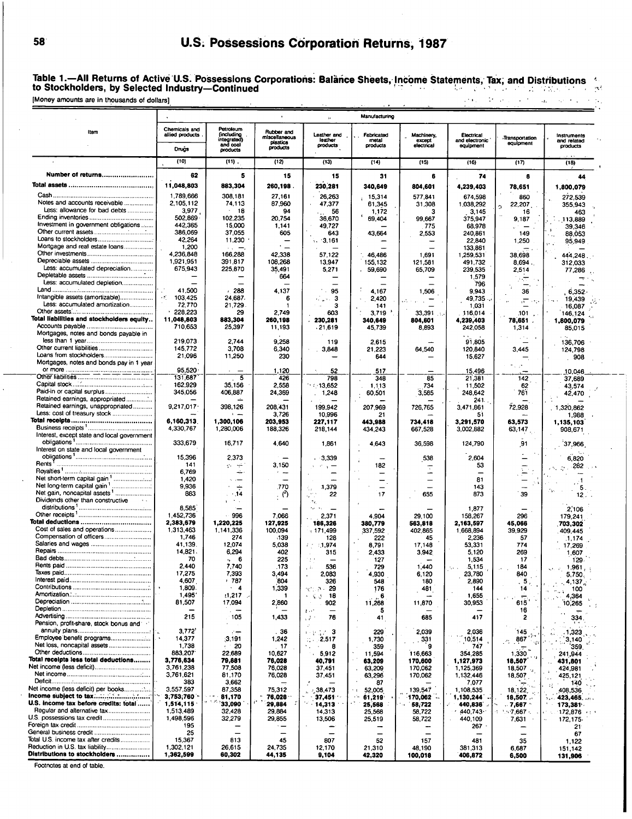# **58- U.S.** Possess **I** ions Corporation Returns, **1987**

Table 1.-All Returns of Active U.S . Possessions Corporations: Balànce Sheets, Income Statements, Tax, and Distributions<br>stry—Continued to Stockholders, **by** Selected Industry-Continued

|                                                                      |                                         |                                      |                                       | $\mathbf{H}$              | Manufacturing                    |                          |                             |                             |                                        |
|----------------------------------------------------------------------|-----------------------------------------|--------------------------------------|---------------------------------------|---------------------------|----------------------------------|--------------------------|-----------------------------|-----------------------------|----------------------------------------|
| Item                                                                 | Chemicals and<br>allied products        | Petroleum<br>(including              | Rubber and                            | Leather and               | Fabricated                       | Machinery,               | Electrical                  |                             |                                        |
|                                                                      |                                         | integrated)<br>and coal              | miscellaneous<br>plastics<br>products | leather<br>products       | metal<br>products                | except<br>electrical     | and electronic<br>equipment | Transportation<br>equipment | instruments<br>and related<br>products |
|                                                                      | Drugs<br>(10)                           | products<br>$(11)$ .                 |                                       |                           |                                  |                          |                             |                             |                                        |
|                                                                      |                                         |                                      | (12)                                  | (13)                      | (14)                             | (15)                     | (16)                        | (17)                        | (18)                                   |
| Number of returns                                                    | 62<br>11,048,803                        | 5<br>883,304                         | 15<br>260,198                         | 15                        | 31                               | 6                        | 74                          | 6                           | 44                                     |
|                                                                      | 1,789.666                               | 308,181                              | 27.161                                | 230,281<br>26,263         | 340,649<br>15,314                | 804,601<br>577,841       | 4,239,403<br>674,598        | 78,651<br>860               | 1,800,079<br>272,539                   |
| Notes and accounts receivable                                        | 2,105,112                               | 74,113                               | 87,960                                | 47,377                    | 61,345                           | 31,308                   | 1,038,292                   | 22,207<br>ó                 | 355,943                                |
| Less: allowance for bad debts                                        | 3977<br>502.869                         | -18<br>102.235                       | 94<br>20,754                          | 56<br>36,670              | 1,172<br>69,404                  | з<br>99.667              | 3,145<br>375,947            | 16                          | 463                                    |
| Investment in government obligations                                 | 442,365                                 | 15,000                               | 1,141                                 | 49,727                    |                                  | 775                      | 68,978                      | 9,187                       | 113,889<br>39,346                      |
|                                                                      | 386,069<br>42.264                       | 37,055                               | 605                                   | 643                       | 43,664                           | 2.553                    | 240,861                     | 149                         | 88,053                                 |
| Mortgage and real estate loans                                       | 1,200                                   | 11,230<br>$\cdots$ $-$               |                                       | $\therefore$ 3,161        |                                  |                          | 22.840<br>133,861           | 1,250                       | 95,949                                 |
|                                                                      | 4,236,848                               | 166,288                              | 42,338                                | 57.122                    | 46 486                           | 1,691                    | 1,259,531                   | 38,698                      | 444,248                                |
| Less: accumulated depreciation                                       | 1.921,951<br>675,943                    | 391,817<br>225,870                   | 108,268<br>35,491                     | 13,947<br>5,271           | 155,132<br>59,690                | 121,581<br>65,709        | 491,732<br>239,535          | 8.694.<br>2,514             | 312,033<br>77,286                      |
|                                                                      |                                         |                                      | 664                                   |                           |                                  |                          | 1,579                       | रा                          |                                        |
| Less: accumulated depletion                                          | 41,500                                  | 288                                  | 4,137                                 | 95                        | 4.167                            | 1,506                    | 796<br>9,943                | 36                          | 6.352                                  |
| Intangible assets (amortizable)                                      | $\rightarrow$ $\mathbb{R}^7$<br>103.425 | 24,687.                              | 6                                     | 3                         | 2,420                            |                          | 49,735                      | دود اللهر                   | 19,439                                 |
| Less: accumulated amortization                                       | 72,770<br>228,223                       | 21,729<br>29                         | -1<br>2,749                           | 3<br>603                  | 141<br>3.719                     | 33.391<br>- 3            | 1,031<br>116,014            | .101                        | 16,087<br>146,124                      |
| Total liabilities and stockholders equity                            | 11,048,803                              | 883,304                              | 260,198                               | 230,281                   | 340,649                          | 804,601                  | 4,239,403                   | 78,651                      | 1,800,079                              |
| Mortgages, notes and bonds payable in                                | 710.653                                 | 25,397                               | 11,193                                | .21,619                   | 45,739                           | 8,893                    | 242,058                     | 1,314                       | 85,015                                 |
|                                                                      | 219,073                                 | 2,744                                | 9.258                                 | 119                       | 2,615                            |                          | 91,805                      |                             | 136,706                                |
| Other current liabilities                                            | 145,772<br>21,096                       | 3,708<br>11,250                      | 6,340<br>230                          | 3.848                     | 21,223                           | 64,540                   | 120,840                     | 3,445                       | 124,798                                |
| Mortgages, notes and bonds pay in 1 year                             |                                         |                                      |                                       |                           | 644                              |                          | 15,627                      |                             | 908                                    |
|                                                                      | 95.520                                  |                                      | 1,120                                 | 52                        | 517                              |                          | 15,496                      |                             | 10,046                                 |
|                                                                      | 131,687<br>162,929                      | $\overline{\phantom{a}}$ 5<br>35,156 | 426<br>2.558                          | 798<br>13,652             | 348<br>1,113                     | 85<br>734                | 21,381<br>11,502            | 142<br>62                   | 37,689<br>43,574                       |
| Paid-in or capital surplus                                           | 345,056                                 | 406,887                              | 24,369                                | 1,248                     | 60,501                           | 3,565                    | 248,642                     | 761                         | 42 470                                 |
| Retained earnings, appropriated<br>Retained earnings, unappropriated | 9,217,017                               | 398,126                              | 208,431                               | 199,942                   | 207,969                          | 726,765                  | 241.<br>3,471,861           | 72,928                      | .1.320.862                             |
| Less: cost of treasury stock                                         |                                         | $\mathbf{r}$                         | 3,726                                 | 10,996                    | 21                               |                          | 51                          |                             | 1,988                                  |
|                                                                      | 6,160,313<br>4,330,767                  | 1,300,106<br>1,280,006               | 203,953<br>188,326                    | 227.117<br>218,144        | 443,988<br>434.243               | 734,418<br>667,528       | 3,291,570<br>3,002,882      | 63,573<br>63,147            | 1,135,103<br>908,671                   |
| Interest, except state and local government                          |                                         |                                      |                                       |                           |                                  |                          |                             |                             |                                        |
| Interest on state and local government                               | 333,679                                 | 16,717                               | 4.640                                 | 1,851                     | 4.643                            | 36,598                   | 124,790                     | 91                          | 37,966                                 |
|                                                                      | 15,396                                  | 2,373                                |                                       | $-3,339$                  |                                  | 538                      | 2,604                       |                             | 6.820                                  |
| Rents <sup>1</sup>                                                   | 141<br>6,769                            | خيد<br>Đ.<br>÷                       | 3.150<br>$\sim$                       |                           | 182<br>—                         |                          | 53                          |                             | 282                                    |
| Net short term capital gain '                                        | 1,420                                   | $\sim$ $-$                           | $\overline{\phantom{0}}$              |                           | Ξ.                               | $\overline{\phantom{0}}$ | 81                          | —                           |                                        |
|                                                                      | 9,936<br>883                            | $\div$<br>.14                        | .770<br>$\cdot$ (2)                   | .1,379<br>÷,<br>22        | 17                               | 655                      | 143<br>873                  | 39                          | <b>CM</b><br>12                        |
| Dividends other than constructive                                    |                                         | $\sim$ $\sim$<br>$\mathbf{r}$        |                                       | Λę                        |                                  |                          |                             |                             |                                        |
|                                                                      | 8.585<br>1,452,736                      | 996                                  | 7,066                                 | 2,371                     | 4,904                            | 29,100                   | 1,877<br>158,267            | 296                         | 2,106                                  |
| Total deductions                                                     | 2,383,679                               | 1,220,225                            | 127,925                               | 186,326                   | 380,779                          | 563,818                  | 2,163,597                   | 45,066                      | 179,241<br>703,302                     |
| Cost of sales and operations<br>Compensation of officers             | 1,313,463<br>1,746                      | 1,141,336<br>274                     | 100,094<br>$-139$                     | $+171.499$<br>128         | 337,592                          | 402,865                  | 1,668,894<br>2,236          | 39,929                      | 409,445                                |
|                                                                      | 41.139.                                 | 12,074                               | 5.038                                 | 4.974                     | 222<br>8.791                     | 45<br>17,148             | 53,331                      | 57<br>774                   | 1,174<br>17,269                        |
|                                                                      | 14,821.<br>70                           | 6,294                                | 402                                   | 315                       | 2.433                            | 3,942                    | 5,120                       | 269                         | 1,607                                  |
|                                                                      | 2.440                                   | $+6$<br>7,740                        | 225<br>.173                           | 536<br>بقال               | 127<br>729                       | 1,440                    | 1,534<br>5,115              | -17<br>184                  | 129<br>$\sim 1.961$ ,                  |
|                                                                      | 17,275                                  | 7,393                                | 3,494                                 | ,083                      | 4,930                            | 6,120                    | 23,780                      | 840                         | 5,750.                                 |
|                                                                      | 4,607<br>1,809.                         | * 787<br>$\cdot$ 4                   | 804<br>1,339                          | 326<br>101. P - 29        | 548<br>176                       | 180<br>481               | 2,890<br>144                | . 5.<br>14                  | 4,137<br>100                           |
|                                                                      | 1,495                                   | (1, 217)                             | -1                                    | -18<br>-6-3<br>$\sim$     | 6                                |                          | 1.655                       |                             | 4,364                                  |
|                                                                      | 81,507                                  | 17,094                               | 2,860                                 | 902<br>$t\sim$            | 11,268<br>5                      | 11,870                   | 30,953                      | 615<br>16                   | 10,265<br>$\sim 1$                     |
|                                                                      | 215                                     | 105                                  | 1,433                                 | 76<br>- 20                | 41                               | 685                      | 417                         | 2                           | 334<br>- 1 - 4                         |
| Pension, profit-share, stock bonus and                               | 3,772'                                  |                                      | 36                                    | 1.2223                    | 229                              | 2,039                    | 2,036                       | 145                         | . 1,323                                |
| Employee benefit programs                                            | 14,377                                  | (3, 191)                             | 1,242                                 | $\frac{1}{2}$ - 2,517     | 1,730                            | 331                      | 10,514                      | 867<br>$\mathcal{P}_1$      | 3,140                                  |
| Net loss, noncapital assets                                          | 1,738<br>883,207                        | -20<br>22,689                        | 17<br>10,627                          | ta in<br>8<br>5,912       | 359<br>11,594                    | 116,663                  | 747<br>354,285              | 1,330                       | 359<br>241,944                         |
| Total receipts less total deductions                                 | 3,776,634                               | 79,881                               | 76,028                                | 40,791                    | 63,209                           | 170,600                  | 1,127,973                   | 18,507                      | 431,801                                |
| Net income (less deficit)                                            | 3,761,238<br>3,761,621                  | 77,508<br>81,170                     | 76,028<br>76,028                      | 37,451<br>37,451          | 63,209<br>63,296                 | 170,062<br>170,062       | 1,125,369<br>1,132,446      | 18,507<br>18,507            | 424,981<br>425,121                     |
|                                                                      | 383                                     | 3,662                                |                                       |                           | 87                               |                          | 7,077                       |                             | 140                                    |
| Net income (less deficit) per books<br>Income subject to tax         | 3,557,597<br>3,753,760                  | 87,358<br>81,170                     | 75,312<br>76,028                      | $-38,473$<br>s,<br>37,451 | 52,005<br>÷.<br>61,219<br>$\sim$ | 139,547<br>170,062       | 1,108.535<br>1,130,244      | 18, 122<br>18,507           | 408,536<br>423,465.                    |
| U.S. income tax before credits: total                                | 1,514,115                               | 33,090                               | 29,884                                | 14,313                    | 25,568                           | 58,722                   | 440,836                     | .7,667                      | 173,381                                |
| Regular and alternative tax<br>U.S. possessions tax credit           | 1,513,489<br>1,498,596                  | 32,428<br>32,279                     | 29,884<br>29,855                      | 14,313<br>13,506          | 25,568                           | 58,722<br>58,722         | 440,743<br>440,109          | $-7.667$ .                  | 172,876<br>$\ddot{\phantom{0}}$        |
|                                                                      | 195                                     |                                      |                                       |                           | 25,519                           |                          | 267                         | 7,631                       | 172,175.<br>21                         |
| General business credit<br>Total U.S. income tax after credits       | 25<br>15,367                            | 813                                  | 45                                    | 807                       | 52                               | 157                      | 481                         |                             | 67                                     |
| Reduction in U.S. tax liability                                      | 1,302,121                               | 26,615                               | 24,735                                | 12,170                    | 21,310                           | 48,190                   | 381,313                     | 35<br>6,687                 | 1,122<br>151,142                       |
| Distributions to stockholders                                        | 1,362,599                               | 60,302                               | 44,135                                | 9,104                     | 42,320                           | 100,018                  | 406,872                     | 6,500                       | 131,906                                |

Footnotes at end of table.

[Money amounts are in thousands of dollars).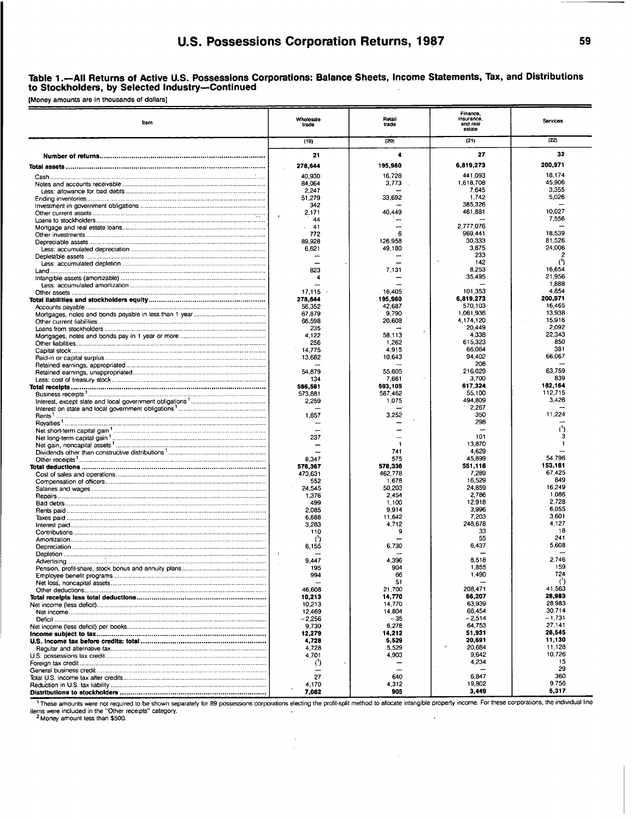#### Table **1.-AII** Returns of Active **U.S.** Possessions Corporations: Balance Sheets, Income Statements, Tax, and Distributions to Stockholders, **by** Selected Industry-Continued

(Money amounts are in thousands of dollars]

| Item                                           | Wholesale<br>trade          | Retail<br>trade  | Finance.<br>insurance,<br>and real<br>estate | Services              |  |
|------------------------------------------------|-----------------------------|------------------|----------------------------------------------|-----------------------|--|
|                                                | (19)                        | (20)             | (21)                                         | (22)                  |  |
|                                                | 21                          | 4                | 27                                           | 32                    |  |
|                                                | 278,644                     | 195,960          | 6,819,273                                    | 200,971               |  |
|                                                | 40.930                      | 16,728           | 441.093                                      | 18.174                |  |
|                                                | 84,064                      | 3,773            | 1.618.708                                    | 45.906                |  |
|                                                | 2,247                       |                  | 7,645                                        | 3,355<br>5,026        |  |
|                                                | 51,279<br>342               | 33,692           | 1,742<br>385.326                             |                       |  |
|                                                | 2,171                       | 40,449           | 461,881                                      | 10,027                |  |
|                                                | $\lambda$<br>44             |                  |                                              | 7,556                 |  |
|                                                | -41                         |                  | 2.777.076                                    |                       |  |
|                                                | 772<br>89.928               | 6<br>126.958     | 969,441<br>30,333                            | 18,539<br>81,526      |  |
|                                                | 6,621                       | 49,180           | 3,875                                        | 24,006                |  |
|                                                |                             |                  | 233                                          | 2                     |  |
|                                                |                             |                  | 142                                          | $^{\prime}$           |  |
|                                                | 823                         | 7,131            | 8,253<br>35,495                              | 16.654<br>21.956      |  |
|                                                |                             |                  |                                              | 1.888                 |  |
|                                                | 17,115                      | 16,405           | 101.353                                      | 4.854                 |  |
|                                                | 278,644                     | 195,960          | 6,819,273                                    | 200,971               |  |
|                                                | 56,352                      | 42,687           | 570,103                                      | 16.465                |  |
|                                                | 67,879<br>66.598            | 9.790<br>20,608  | 1,061,936<br>4,174,120                       | 13.938<br>15,916      |  |
|                                                | 235                         |                  | 20,449                                       | 2.092                 |  |
|                                                | 4,122                       | ,<br>58.113      | 4,338                                        | 22,343                |  |
|                                                | 256                         | 1.262            | 615,323                                      | 850                   |  |
|                                                | 14,775                      | 4,915            | 66,064                                       | 381<br>66,067         |  |
|                                                | 13,682                      | 10.643           | 94.402<br>208                                |                       |  |
|                                                | 54,879                      | 55,605           | 216.029                                      | 63,759                |  |
|                                                | 134                         | 7,661            | 3,700                                        | 839                   |  |
|                                                | 586,581                     | 593,105          | 617,324                                      | 182,164               |  |
|                                                | 573,881<br>2.259            | 587,462<br>1,075 | 55,100<br>494,809                            | 112.715<br>3,426      |  |
|                                                |                             |                  | 2,267                                        |                       |  |
|                                                | 1.857                       | 3,252            | 350                                          | 11.224                |  |
|                                                |                             |                  | 298                                          |                       |  |
|                                                |                             |                  | 101                                          | з                     |  |
|                                                | 237                         | -1               | 13,870                                       |                       |  |
|                                                |                             | 741              | 4,629                                        |                       |  |
|                                                | 8.347                       | 575              | 45,899                                       | 54.796                |  |
| Total deductions …………………………………………………………………………… | 576.367                     | 578,336          | 551,118                                      | 153,181<br>67,425     |  |
|                                                | 473,631<br>552              | 462.778<br>1,678 | 7,289<br>16,529                              | 849                   |  |
|                                                | 24.545                      | 50,203           | 24.859                                       | 16,249                |  |
|                                                | 1,376                       | 2.454            | 2,786                                        | 1,086                 |  |
|                                                | 499                         | 1,100            | 12,918                                       | 2.728                 |  |
|                                                | 2.085<br>6,888              | 9,914<br>11.642  | 3,996<br>7,203                               | 6.055<br>3,601        |  |
|                                                | 3.283                       | 4,712            | 248,678                                      | 4.127                 |  |
|                                                | 110                         | 9                | 33                                           | 18                    |  |
|                                                | $^{\prime}$                 |                  | 55                                           | 241                   |  |
|                                                | 6.155                       | 6.730            | 6,437                                        | 5,608                 |  |
|                                                | 9.447                       | 4.396            | 8,518                                        | 2.746                 |  |
|                                                | 195                         | 904              | 1,855                                        | 159                   |  |
|                                                | 994                         | 66               | 1,490                                        | 724                   |  |
|                                                | 46,608                      | 51<br>21,700     | 208,471                                      | $^{\prime}$<br>41,563 |  |
|                                                | 10,213                      | 14,770           | 66,207                                       | 28,983                |  |
|                                                | 10,213                      | 14,770           | 63.939                                       | 28,983                |  |
|                                                | 12,469                      | 14,804           | 66,454                                       | 30,714                |  |
|                                                | $-2,256$                    | $-35$            | $-2,514$                                     | - 1.731               |  |
|                                                | 9,730<br>12,279             | 6,278<br>14,212  | 64,753<br>51.931                             | 27,141<br>28,545      |  |
|                                                | 4,728                       | 5,529            | 20,691                                       | 11,130                |  |
|                                                | 4,728                       | 5,529            | 20.684                                       | 11,128                |  |
|                                                | 4,701                       | 4,903            | 9,642                                        | 10,726                |  |
|                                                | $\left( \mathcal{C}\right)$ |                  | 4,234                                        | 15<br>29              |  |
|                                                | 27                          | 640              | 6,847                                        | 360                   |  |
|                                                | 4.170                       | 4,312            | 19,802                                       | 9,756                 |  |
|                                                | 7.082                       | 905              | 3,449                                        | 5,317                 |  |

<sup>1</sup> These amounts were not required to be shown separately for 89 possessions corporations electing the profit-split method to allocate intangible property income. For these corporations, the individual line<br>items were inc

 $\mathcal{L}$ 

 $\Delta$  $\bar{L}$